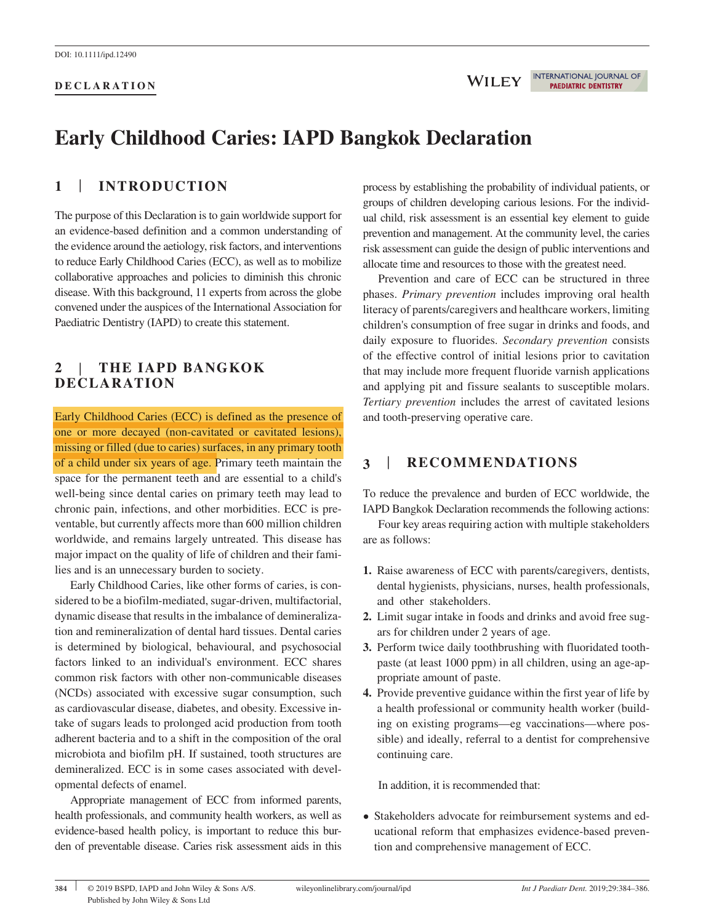# **Early Childhood Caries: IAPD Bangkok Declaration**

# **1** | **INTRODUCTION**

The purpose of this Declaration is to gain worldwide support for an evidence‐based definition and a common understanding of the evidence around the aetiology, risk factors, and interventions to reduce Early Childhood Caries (ECC), as well as to mobilize collaborative approaches and policies to diminish this chronic disease. With this background, 11 experts from across the globe convened under the auspices of the International Association for Paediatric Dentistry (IAPD) to create this statement.

### **2** | **THE IAPD BANGKOK DECLARATION**

Early Childhood Caries (ECC) is defined as the presence of one or more decayed (non‐cavitated or cavitated lesions), missing or filled (due to caries) surfaces, in any primary tooth of a child under six years of age. Primary teeth maintain the space for the permanent teeth and are essential to a child's well-being since dental caries on primary teeth may lead to chronic pain, infections, and other morbidities. ECC is preventable, but currently affects more than 600 million children worldwide, and remains largely untreated. This disease has major impact on the quality of life of children and their families and is an unnecessary burden to society.

Early Childhood Caries, like other forms of caries, is considered to be a biofilm‐mediated, sugar‐driven, multifactorial, dynamic disease that results in the imbalance of demineralization and remineralization of dental hard tissues. Dental caries is determined by biological, behavioural, and psychosocial factors linked to an individual's environment. ECC shares common risk factors with other non‐communicable diseases (NCDs) associated with excessive sugar consumption, such as cardiovascular disease, diabetes, and obesity. Excessive intake of sugars leads to prolonged acid production from tooth adherent bacteria and to a shift in the composition of the oral microbiota and biofilm pH. If sustained, tooth structures are demineralized. ECC is in some cases associated with developmental defects of enamel.

Appropriate management of ECC from informed parents, health professionals, and community health workers, as well as evidence-based health policy, is important to reduce this burden of preventable disease. Caries risk assessment aids in this process by establishing the probability of individual patients, or groups of children developing carious lesions. For the individual child, risk assessment is an essential key element to guide prevention and management. At the community level, the caries risk assessment can guide the design of public interventions and allocate time and resources to those with the greatest need.

Prevention and care of ECC can be structured in three phases. *Primary prevention* includes improving oral health literacy of parents/caregivers and healthcare workers, limiting children's consumption of free sugar in drinks and foods, and daily exposure to fluorides. *Secondary prevention* consists of the effective control of initial lesions prior to cavitation that may include more frequent fluoride varnish applications and applying pit and fissure sealants to susceptible molars. *Tertiary prevention* includes the arrest of cavitated lesions and tooth‐preserving operative care.

## **3** | **RECOMMENDATIONS**

To reduce the prevalence and burden of ECC worldwide, the IAPD Bangkok Declaration recommends the following actions:

Four key areas requiring action with multiple stakeholders are as follows:

- **1.** Raise awareness of ECC with parents/caregivers, dentists, dental hygienists, physicians, nurses, health professionals, and other stakeholders.
- **2.** Limit sugar intake in foods and drinks and avoid free sugars for children under 2 years of age.
- **3.** Perform twice daily toothbrushing with fluoridated toothpaste (at least 1000 ppm) in all children, using an age‐appropriate amount of paste.
- **4.** Provide preventive guidance within the first year of life by a health professional or community health worker (building on existing programs—eg vaccinations—where possible) and ideally, referral to a dentist for comprehensive continuing care.

In addition, it is recommended that:

• Stakeholders advocate for reimbursement systems and educational reform that emphasizes evidence‐based prevention and comprehensive management of ECC.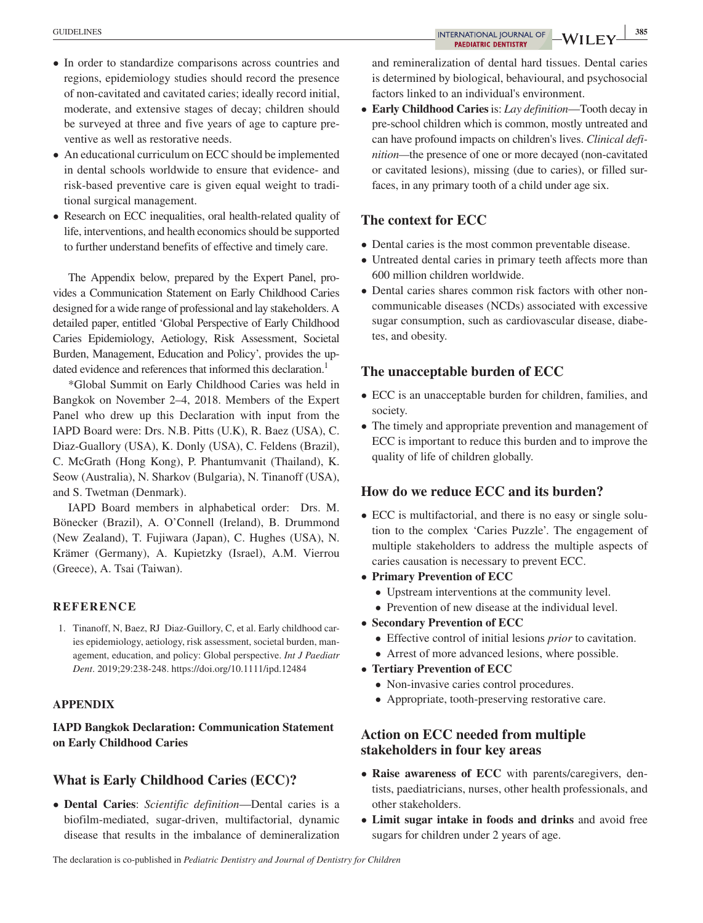- In order to standardize comparisons across countries and regions, epidemiology studies should record the presence of non‐cavitated and cavitated caries; ideally record initial, moderate, and extensive stages of decay; children should be surveyed at three and five years of age to capture preventive as well as restorative needs.
- An educational curriculum on ECC should be implemented in dental schools worldwide to ensure that evidence‐ and risk‐based preventive care is given equal weight to traditional surgical management.
- Research on ECC inequalities, oral health-related quality of life, interventions, and health economics should be supported to further understand benefits of effective and timely care.

The Appendix below, prepared by the Expert Panel, provides a Communication Statement on Early Childhood Caries designed for a wide range of professional and lay stakeholders. A detailed paper, entitled 'Global Perspective of Early Childhood Caries Epidemiology, Aetiology, Risk Assessment, Societal Burden, Management, Education and Policy', provides the updated evidence and references that informed this declaration.<sup>1</sup>

\*Global Summit on Early Childhood Caries was held in Bangkok on November 2–4, 2018. Members of the Expert Panel who drew up this Declaration with input from the IAPD Board were: Drs. N.B. Pitts (U.K), R. Baez (USA), C. Diaz‐Guallory (USA), K. Donly (USA), C. Feldens (Brazil), C. McGrath (Hong Kong), P. Phantumvanit (Thailand), K. Seow (Australia), N. Sharkov (Bulgaria), N. Tinanoff (USA), and S. Twetman (Denmark).

IAPD Board members in alphabetical order: Drs. M. Bönecker (Brazil), A. O'Connell (Ireland), B. Drummond (New Zealand), T. Fujiwara (Japan), C. Hughes (USA), N. Krämer (Germany), A. Kupietzky (Israel), A.M. Vierrou (Greece), A. Tsai (Taiwan).

#### **REFERENCE**

1. Tinanoff, N, Baez, RJ Diaz-Guillory, C, et al. Early childhood caries epidemiology, aetiology, risk assessment, societal burden, management, education, and policy: Global perspective. *Int J Paediatr Dent*. 2019;29:238‐248.<https://doi.org/10.1111/ipd.12484>

#### **APPENDIX**

**IAPD Bangkok Declaration: Communication Statement on Early Childhood Caries**

#### **What is Early Childhood Caries (ECC)?**

• **Dental Caries**: *Scientific definition*—Dental caries is a biofilm‐mediated, sugar‐driven, multifactorial, dynamic disease that results in the imbalance of demineralization

and remineralization of dental hard tissues. Dental caries is determined by biological, behavioural, and psychosocial factors linked to an individual's environment.

• **Early Childhood Caries** is: *Lay definition*—Tooth decay in pre‐school children which is common, mostly untreated and can have profound impacts on children's lives. *Clinical definition*—the presence of one or more decayed (non-cavitated or cavitated lesions), missing (due to caries), or filled surfaces, in any primary tooth of a child under age six.

#### **The context for ECC**

- Dental caries is the most common preventable disease.
- Untreated dental caries in primary teeth affects more than 600 million children worldwide.
- Dental caries shares common risk factors with other non‐ communicable diseases (NCDs) associated with excessive sugar consumption, such as cardiovascular disease, diabetes, and obesity.

#### **The unacceptable burden of ECC**

- ECC is an unacceptable burden for children, families, and society.
- The timely and appropriate prevention and management of ECC is important to reduce this burden and to improve the quality of life of children globally.

### **How do we reduce ECC and its burden?**

- ECC is multifactorial, and there is no easy or single solution to the complex 'Caries Puzzle'. The engagement of multiple stakeholders to address the multiple aspects of caries causation is necessary to prevent ECC.
- **Primary Prevention of ECC**
	- Upstream interventions at the community level.
	- Prevention of new disease at the individual level.
- **Secondary Prevention of ECC**
	- Effective control of initial lesions *prior* to cavitation.
	- Arrest of more advanced lesions, where possible.
- **Tertiary Prevention of ECC**
	- Non-invasive caries control procedures.
	- Appropriate, tooth-preserving restorative care.

### **Action on ECC needed from multiple stakeholders in four key areas**

- **Raise awareness of ECC** with parents/caregivers, dentists, paediatricians, nurses, other health professionals, and other stakeholders.
- **Limit sugar intake in foods and drinks** and avoid free sugars for children under 2 years of age.